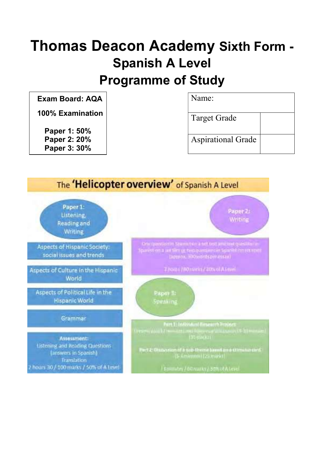## Thomas Deacon Academy Sixth Form - Spanish A Level Programme of Study

| <b>Exam Board: AQA</b>       | Name:                     |
|------------------------------|---------------------------|
| <b>100% Examination</b>      | Target Grade              |
| Paper 1: 50%                 |                           |
| Paper 2: 20%<br>Paper 3: 30% | <b>Aspirational Grade</b> |

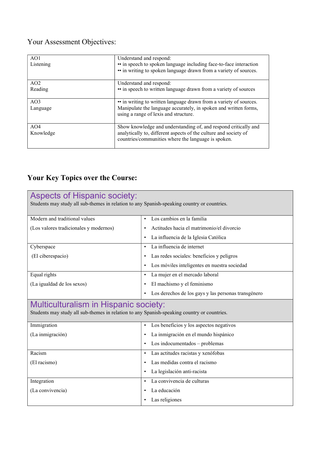## Your Assessment Objectives:

| AO1<br>Listening | Understand and respond:<br>• in speech to spoken language including face-to-face interaction<br>• in writing to spoken language drawn from a variety of sources. |
|------------------|------------------------------------------------------------------------------------------------------------------------------------------------------------------|
| AO2              | Understand and respond:                                                                                                                                          |
| Reading          | • in speech to written language drawn from a variety of sources                                                                                                  |
| AO3              | • in writing to written language drawn from a variety of sources.                                                                                                |
| Language         | Manipulate the language accurately, in spoken and written forms,<br>using a range of lexis and structure.                                                        |
| AO4              | Show knowledge and understanding of, and respond critically and                                                                                                  |
| Knowledge        | analytically to, different aspects of the culture and society of<br>countries/communities where the language is spoken.                                          |

## Your Key Topics over the Course:

| <b>Aspects of Hispanic society:</b><br>Students may study all sub-themes in relation to any Spanish-speaking country or countries.          |                                                           |
|---------------------------------------------------------------------------------------------------------------------------------------------|-----------------------------------------------------------|
| Modern and traditional values                                                                                                               | Los cambios en la familia                                 |
| (Los valores tradicionales y modernos)                                                                                                      | Actitudes hacia el matrimonio/el divorcio<br>٠            |
|                                                                                                                                             | La influencia de la Iglesia Católica<br>٠                 |
| Cyberspace                                                                                                                                  | La influencia de internet<br>$\bullet$                    |
| (El ciberespacio)                                                                                                                           | Las redes sociales: beneficios y peligros<br>٠            |
|                                                                                                                                             | Los móviles inteligentes en nuestra sociedad<br>$\bullet$ |
| Equal rights                                                                                                                                | La mujer en el mercado laboral<br>$\bullet$               |
| (La igualdad de los sexos)                                                                                                                  | El machismo y el feminismo<br>$\bullet$                   |
|                                                                                                                                             | Los derechos de los gays y las personas transgénero<br>٠  |
|                                                                                                                                             |                                                           |
| <b>Multiculturalism in Hispanic society:</b><br>Students may study all sub-themes in relation to any Spanish-speaking country or countries. |                                                           |
| Immigration                                                                                                                                 | Los beneficios y los aspectos negativos<br>$\bullet$      |
| (La inmigración)                                                                                                                            | La inmigración en el mundo hispánico<br>٠                 |
|                                                                                                                                             | Los indocumentados - problemas<br>$\bullet$               |
| Racism                                                                                                                                      | Las actitudes racistas y xenófobas<br>$\bullet$           |
| (El racismo)                                                                                                                                | Las medidas contra el racismo                             |
|                                                                                                                                             | La legislación anti-racista<br>$\bullet$                  |
| Integration                                                                                                                                 | La convivencia de culturas<br>$\bullet$                   |
| (La convivencia)                                                                                                                            | La educación<br>$\bullet$                                 |